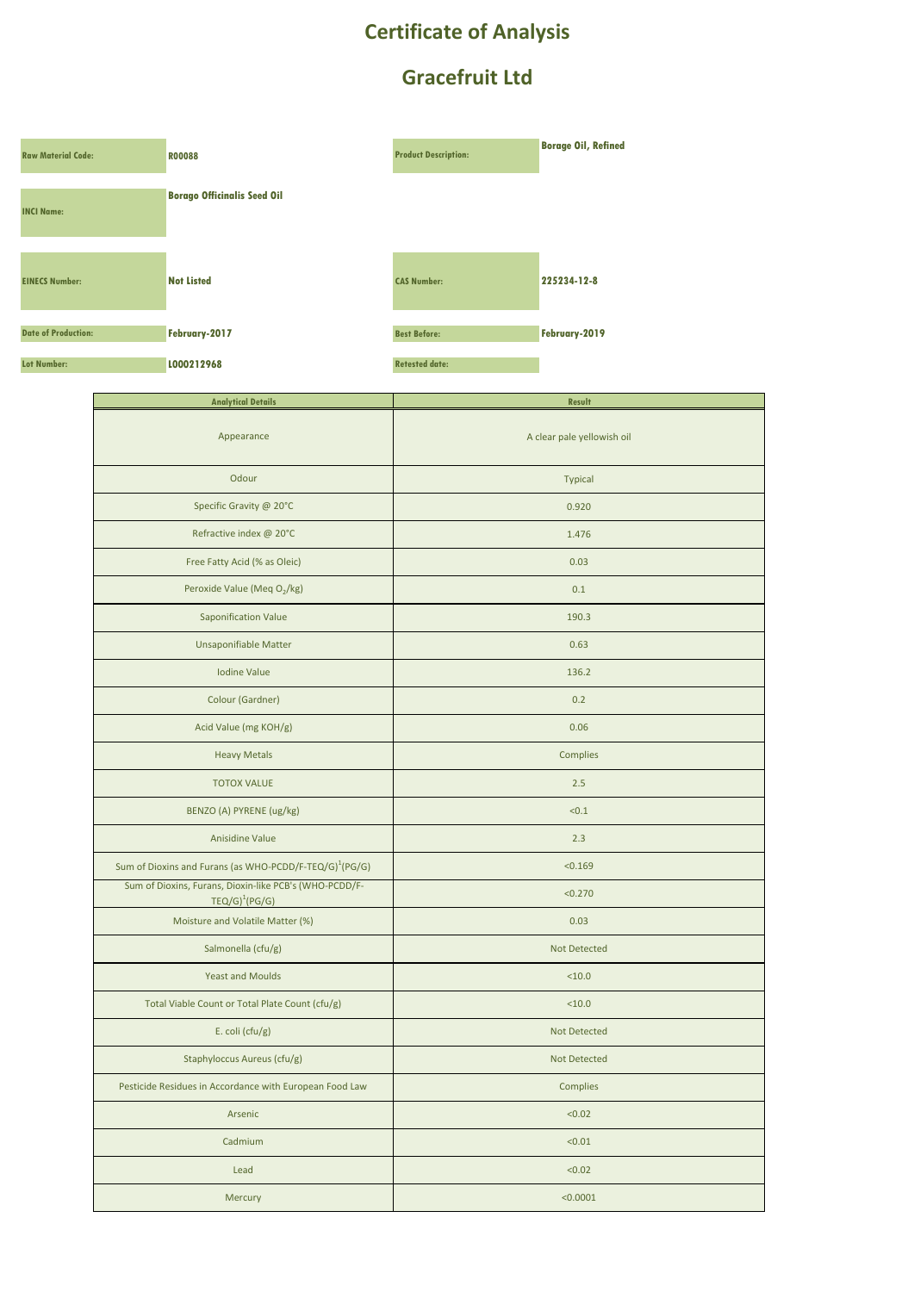## **Certificate of Analysis**

## **Gracefruit Ltd**

| <b>Raw Material Code:</b>  | <b>R00088</b>                      | <b>Product Description:</b> | <b>Borage Oil, Refined</b> |
|----------------------------|------------------------------------|-----------------------------|----------------------------|
| <b>INCI Name:</b>          | <b>Borago Officinalis Seed Oil</b> |                             |                            |
| <b>EINECS Number:</b>      | <b>Not Listed</b>                  | <b>CAS Number:</b>          | 225234-12-8                |
| <b>Date of Production:</b> | February-2017                      | <b>Best Before:</b>         | February-2019              |
| <b>Lot Number:</b>         | L000212968                         | <b>Retested date:</b>       |                            |

| <b>Analytical Details</b>                                                  | <b>Result</b>              |  |
|----------------------------------------------------------------------------|----------------------------|--|
| Appearance                                                                 | A clear pale yellowish oil |  |
| Odour                                                                      | <b>Typical</b>             |  |
| Specific Gravity @ 20°C                                                    | 0.920                      |  |
| Refractive index @ 20°C                                                    | 1.476                      |  |
| Free Fatty Acid (% as Oleic)                                               | 0.03                       |  |
| Peroxide Value (Meq O2/kg)                                                 | 0.1                        |  |
| Saponification Value                                                       | 190.3                      |  |
| Unsaponifiable Matter                                                      | 0.63                       |  |
| Iodine Value                                                               | 136.2                      |  |
| Colour (Gardner)                                                           | 0.2                        |  |
| Acid Value (mg KOH/g)                                                      | 0.06                       |  |
| <b>Heavy Metals</b>                                                        | Complies                   |  |
| <b>TOTOX VALUE</b>                                                         | 2.5                        |  |
| BENZO (A) PYRENE (ug/kg)                                                   | < 0.1                      |  |
| Anisidine Value                                                            | 2.3                        |  |
| Sum of Dioxins and Furans (as WHO-PCDD/F-TEQ/G) <sup>1</sup> (PG/G)        | < 0.169                    |  |
| Sum of Dioxins, Furans, Dioxin-like PCB's (WHO-PCDD/F-<br>$TEQ/G)^1(PG/G)$ | < 0.270                    |  |
| Moisture and Volatile Matter (%)                                           | 0.03                       |  |
| Salmonella (cfu/g)                                                         | Not Detected               |  |
| <b>Yeast and Moulds</b>                                                    | < 10.0                     |  |
| Total Viable Count or Total Plate Count (cfu/g)                            | < 10.0                     |  |
| E. coli ( $ctu/g$ )                                                        | <b>Not Detected</b>        |  |
| Staphyloccus Aureus (cfu/g)                                                | <b>Not Detected</b>        |  |
| Pesticide Residues in Accordance with European Food Law                    | Complies                   |  |
| Arsenic                                                                    | < 0.02                     |  |
| Cadmium                                                                    | < 0.01                     |  |
| Lead                                                                       | < 0.02                     |  |
| Mercury                                                                    | < 0.0001                   |  |